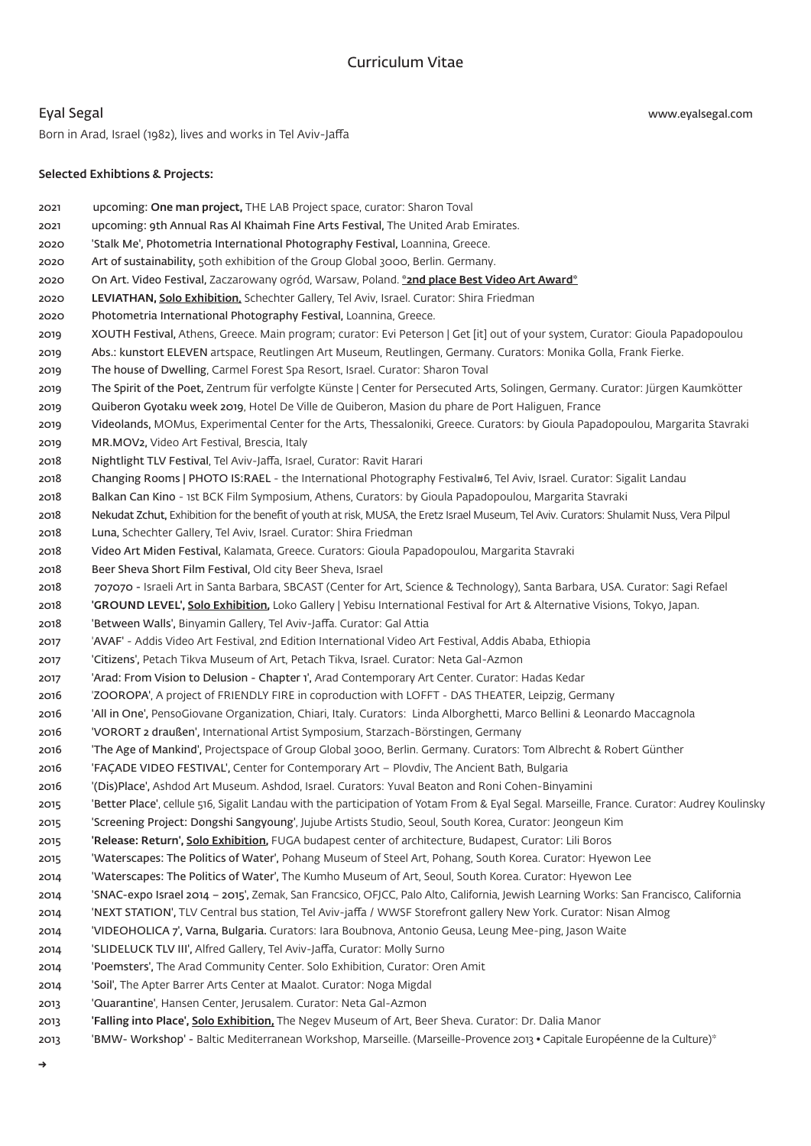www.eyalsegal.com

## Eyal Segal

Born in Arad, Israel (1982), lives and works in Tel Aviv-Jaffa

## Selected Exhibtions & Projects:

zozi upcoming: One man project, THE LAB Project space, curator: Sharon Toval 2021 United Arab Emirates. Arab United Arab Emirates Arab Emirates Arab Emirates. 2020 'Stalk Me', Photometria International Photography Festival, Loannina, Greece. 2020 Art of sustainability, 50th exhibition of the Group Global 3000, Berlin. Germany. 2020 On Art. Video Festival, Zaczarowany ogród, Warsaw, Poland. \*2nd place Best Video Art Award\* 2020 LEVIATHAN, Solo Exhibition, Schechter Gallery, Tel Aviv, Israel. Curator: Shira Friedman 2020 Photometria International Photography Festival, Loannina, Greece. 2019 XOUTH Festival, Athens, Greece. Main program; curator: Evi Peterson | Get [it] out of your system, Curator: Gioula Papadopoulou 2019 Abs.: kunstort ELEVEN artspace, Reutlingen Art Museum, Reutlingen, Germany. Curators: Monika Golla, Frank Fierke. 2019 The house of Dwelling, Carmel Forest Spa Resort, Israel. Curator: Sharon Toval 2019 The Spirit of the Poet, Zentrum für verfolgte Künste | Center for Persecuted Arts, Solingen, Germany. Curator: Jürgen Kaumkötter 2019 Guiberon Gyotaku week 2019, Hotel De Ville de Quiberon, Masion du phare de Port Haliguen, France 2019 Videolands, MOMus, Experimental Center for the Arts, Thessaloniki, Greece. Curators: by Gioula Papadopoulou, Margarita Stavraki 2019 MR.MOV2, Video Art Festival, Brescia, Italy 2018 Nightlight TLV Festival, Tel Aviv-Jaffa, Israel, Curator: Ravit Harari 2018 Changing Rooms | PHOTO IS:RAEL - the International Photography Festival#6, Tel Aviv, Israel. Curator: Sigalit Landau 2018 Balkan Can Kino - 1st BCK Film Symposium, Athens, Curators: by Gioula Papadopoulou, Margarita Stavraki 2018 Nekudat Zchut, Exhibition for the benefit of youth at risk, MUSA, the Eretz Israel Museum, Tel Aviv. Curators: Shulamit Nuss, Vera Pilpul 2018 Luna, Schechter Gallery, Tel Aviv, Israel. Curator: Shira Friedman 2018 Video Art Miden Festival, Kalamata, Greece. Curators: Gioula Papadopoulou, Margarita Stavraki 2018 Beer Sheva Short Film Festival, Old city Beer Sheva, Israel 2018 707070 - Israeli Art in Santa Barbara, SBCAST (Center for Art, Science & Technology), Santa Barbara, USA. Curator: Sagi Refael 2018 **GROUND LEVEL', Solo Exhibition**, Loko Gallery | Yebisu International Festival for Art & Alternative Visions, Tokyo, Japan. 2018 : 'Between Walls', Binyamin Gallery, Tel Aviv-Jaffa. Curator: Gal Attia Ethiopia ,Ababa Addis ,Festival Art Video International Edition nd2 ,Festival Art Video Addis -' AVAF '2017 2017 Citizens', Petach Tikva Museum of Art, Petach Tikva, Israel. Curator: Neta Gal-Azmon 2017 'Arad: From Vision to Delusion - Chapter 1', Arad Contemporary Art Center. Curator: Hadas Kedar Germany ,Leipzig ,THEATER DAS - LOFFT with coproduction in FIRE FRIENDLY of project A ,'ZOOROPA '2016 Maccagnola Leonardo & Bellini Marco ,Alborghetti Linda :Curators .Italy ,Chiari ,Organization PensoGiovane ,'One in All '2016 2016 VORORT 2 draußen', International Artist Symposium, Starzach-Börstingen, Germany 2016 The Age of Mankind', Projectspace of Group Global 3000, Berlin. Germany. Curators: Tom Albrecht & Robert Günther 2016 FACADE VIDEO FESTIVAL', Center for Contemporary Art – Plovdiv, The Ancient Bath, Bulgaria Binyamini-Cohen Roni and Beaton Yuval :Curators .Israel ,Ashdod .Museum Art Ashdod ,'Place)Dis '(2016 2015 Better Place', cellule 516, Sigalit Landau with the participation of Yotam From & Eyal Segal. Marseille, France. Curator: Audrey Koulinsky 2015 'Screening Project: Dongshi Sangyoung', Jujube Artists Studio, Seoul, South Korea, Curator: Jeongeun Kim 2015 Release: Return', Solo Exhibition, FUGA budapest center of architecture, Budapest, Curator: Lili Boros 2015 Waterscapes: The Politics of Water', Pohang Museum of Steel Art, Pohang, South Korea. Curator: Hyewon Lee Lee Hyewon :Curator .Korea South ,Seoul ,Art of Museum Kumho The ,'Water of Politics The :Waterscapes '2014 2014 SNAC-expo Israel 2014 - 2015', Zemak, San Francsico, OFICC, Palo Alto, California, Iewish Learning Works: San Francisco, California 2014 **NEXT STATION', TLV Central bus station, Tel Aviv-jaffa / WWSF Storefront gallery New York. Curator: Nisan Almog** 2014 'VIDEOHOLICA 7', Varna, Bulgaria. Curators: Iara Boubnova, Antonio Geusa, Leung Mee-ping, Jason Waite 2014 SLIDELUCK TLV III', Alfred Gallery, Tel Aviv-Jaffa, Curator: Molly Surno 2014 Poemsters'. The Arad Community Center. Solo Exhibition. Curator: Oren Amit 2014 'Soil', The Apter Barrer Arts Center at Maalot. Curator: Noga Migdal 2013 <sup>'</sup>Quarantine', Hansen Center, Jerusalem. Curator: Neta Gal-Azmon 2013 **Falling into Place', Solo Exhibition**, The Negev Museum of Art, Beer Sheva. Curator: Dr. Dalia Manor \*2013 BMW- Workshop' - Baltic Mediterranean Workshop, Marseille. (Marseille-Provence 2013 • Capitale Européenne de la Culture)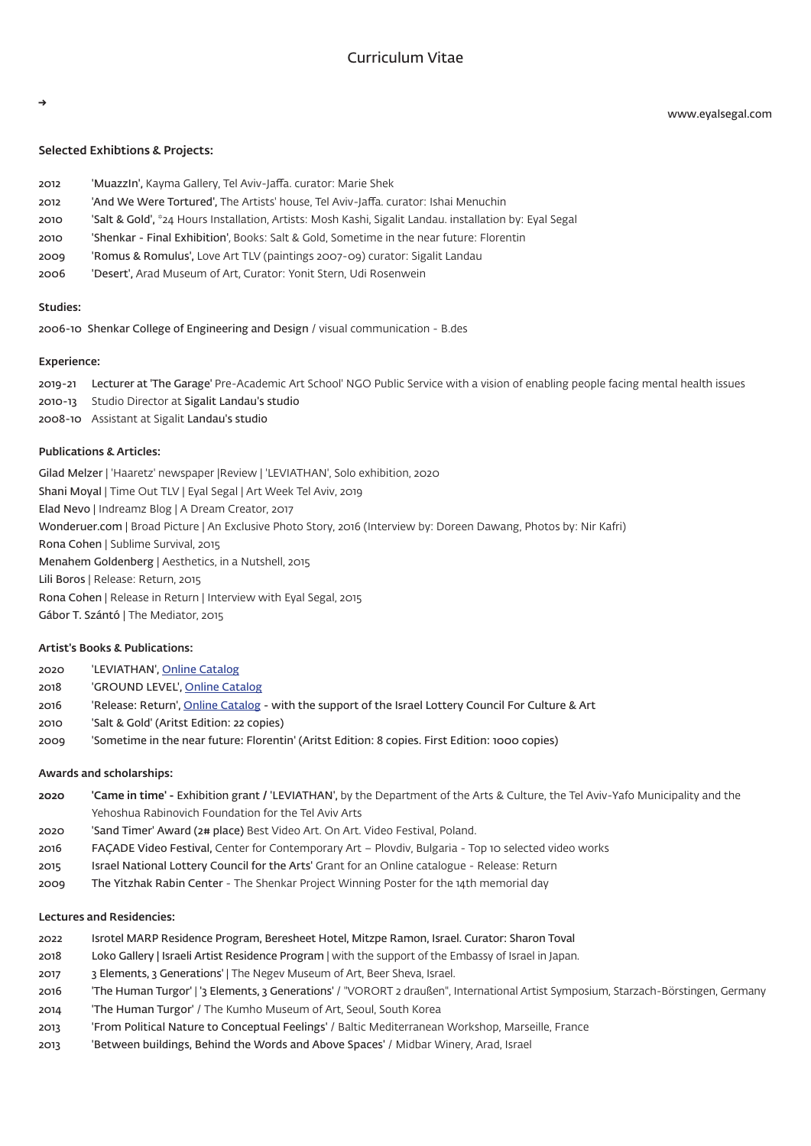# Curriculum Vitae

www.eyalsegal.com

### Selected Exhibtions & Projects:

| 2012 | 'Muazzin', Kayma Gallery, Tel Aviv-Jaffa. curator: Marie Shek                                           |
|------|---------------------------------------------------------------------------------------------------------|
| 2012 | 'And We Were Tortured', The Artists' house, Tel Aviv-Jaffa. curator: Ishai Menuchin                     |
| 2010 | 'Salt & Gold', *24 Hours Installation, Artists: Mosh Kashi, Sigalit Landau. installation by: Eval Segal |
| 2010 | 'Shenkar - Final Exhibition'. Books: Salt & Gold. Sometime in the near future: Florentin                |

- 2009 Romus & Romulus', Love Art TLV (paintings 2007-09) curator: Sigalit Landau
- 2006 'Desert', Arad Museum of Art, Curator: Yonit Stern, Udi Rosenwein

#### Studies<sup>.</sup>

2006-10 Shenkar College of Engineering and Design / visual communication - B.des

#### Experience:

2019-21 Lecturer at 'The Garage' Pre-Academic Art School' NGO Public Service with a vision of enabling people facing mental health issues 2010-13 Studio Director at Sigalit Landau's studio 2008-10 Assistant at Sigalit Landau's studio

### Publications & Articles:

Gilad Melzer | 'Haaretz' newspaper | Review | 'LEVIATHAN', Solo exhibition, 2020 Shani Moyal | Time Out TLV | Eyal Segal | Art Week Tel Aviv, 2019 Elad Nevo | Indreamz Blog | A Dream Creator, 2017 Wonderuer.com | Broad Picture | An Exclusive Photo Story, 2016 (Interview by: Doreen Dawang, Photos by: Nir Kafri) Rona Cohen | Sublime Survival, 2015 Menahem Goldenberg | Aesthetics, in a Nutshell, 2015 Lili Boros | Release: Return, 2015 Rona Cohen | Release in Return | Interview with Eyal Segal, 2015 Gábor T. Szántó | The Mediator, 2015

### Artist's Books & Publications:

| 2020 | 'LEVIATHAN', Online Catalog                                                                          |
|------|------------------------------------------------------------------------------------------------------|
| 2018 | 'GROUND LEVEL', Online Catalog                                                                       |
| 2016 | 'Release: Return', Online Catalog - with the support of the Israel Lottery Council For Culture & Art |
| 2010 | 'Salt & Gold' (Aritst Edition: 22 copies)                                                            |
| 2009 | 'Sometime in the near future: Florentin' (Aritst Edition: 8 copies. First Edition: 1000 copies)      |
|      |                                                                                                      |

#### Awards and scholarships:

- **2020** 'Came in time' Exhibition grant / 'LEVIATHAN', by the Department of the Arts & Culture, the Tel Aviv-Yafo Municipality and the Yehoshua Rabinovich Foundation for the Tel Aviv Arts
- 2020 'Sand Timer' Award (2# place) Best Video Art. On Art. Video Festival, Poland.
- 2016 FAÇADE Video Festival, Center for Contemporary Art Plovdiv, Bulgaria Top 10 selected video works
- 2015 Israel National Lottery Council for the Arts' Grant for an Online catalogue Release: Return
- 2009 The Yitzhak Rabin Center The Shenkar Project Winning Poster for the 14th memorial day

### Lectures and Residencies:

- 2022 Isrotel MARP Residence Program, Beresheet Hotel, Mitzpe Ramon, Israel. Curator: Sharon Toval
- 2018 Loko Gallery | Israeli Artist Residence Program | with the support of the Embassy of Israel in Japan.
- 2017 3 Elements, 3 Generations' | The Negev Museum of Art, Beer Sheva, Israel.
- 2016 The Human Turgor' | '3 Elements, 3 Generations' / "VORORT 2 draußen", International Artist Symposium, Starzach-Börstingen, Germany
- 2014 The Human Turgor' / The Kumho Museum of Art, Seoul, South Korea
- 2013 From Political Nature to Conceptual Feelings' / Baltic Mediterranean Workshop, Marseille, France
- 2013 Between buildings, Behind the Words and Above Spaces' / Midbar Winery, Arad, Israel

→